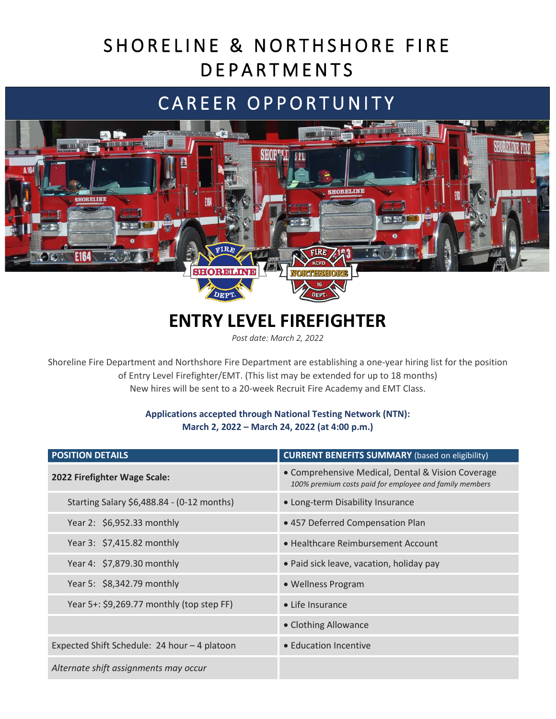# SHORELINE & NORTHSHORE FIRE **DEPARTMENTS**

# CAREER OPPORTUNITY



## **ENTRY LEVEL FIREFIGHTER**

*Post date: March 2, 2022*

Shoreline Fire Department and Northshore Fire Department are establishing a one-year hiring list for the position of Entry Level Firefighter/EMT. (This list may be extended for up to 18 months) New hires will be sent to a 20-week Recruit Fire Academy and EMT Class.

### **Applications accepted through National Testing Network (NTN): March 2, 2022 – March 24, 2022 (at 4:00 p.m.)**

| <b>POSITION DETAILS</b>                      | <b>CURRENT BENEFITS SUMMARY</b> (based on eligibility)                                                       |
|----------------------------------------------|--------------------------------------------------------------------------------------------------------------|
| 2022 Firefighter Wage Scale:                 | • Comprehensive Medical, Dental & Vision Coverage<br>100% premium costs paid for employee and family members |
| Starting Salary \$6,488.84 - (0-12 months)   | • Long-term Disability Insurance                                                                             |
| Year 2: \$6,952.33 monthly                   | • 457 Deferred Compensation Plan                                                                             |
| Year 3: \$7,415.82 monthly                   | • Healthcare Reimbursement Account                                                                           |
| Year 4: \$7,879.30 monthly                   | • Paid sick leave, vacation, holiday pay                                                                     |
| Year 5: \$8,342.79 monthly                   | • Wellness Program                                                                                           |
| Year 5+: \$9,269.77 monthly (top step FF)    | • Life Insurance                                                                                             |
|                                              | • Clothing Allowance                                                                                         |
| Expected Shift Schedule: 24 hour - 4 platoon | • Education Incentive                                                                                        |
| Alternate shift assignments may occur        |                                                                                                              |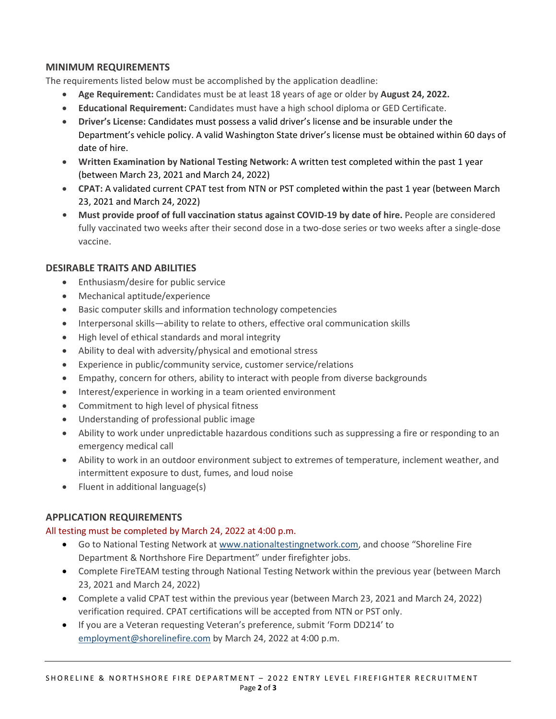### **MINIMUM REQUIREMENTS**

The requirements listed below must be accomplished by the application deadline:

- **Age Requirement:** Candidates must be at least 18 years of age or older by **August 24, 2022.**
- **Educational Requirement:** Candidates must have a high school diploma or GED Certificate.
- **Driver's License:** Candidates must possess a valid driver's license and be insurable under the Department's vehicle policy. A valid Washington State driver's license must be obtained within 60 days of date of hire.
- **Written Examination by National Testing Network:** A written test completed within the past 1 year (between March 23, 2021 and March 24, 2022)
- **CPAT:** A validated current CPAT test from NTN or PST completed within the past 1 year (between March 23, 2021 and March 24, 2022)
- Must provide proof of full vaccination status against COVID-19 by date of hire. People are considered fully vaccinated two weeks after their second dose in a two-dose series or two weeks after a single-dose vaccine.

### **DESIRABLE TRAITS AND ABILITIES**

- Enthusiasm/desire for public service
- Mechanical aptitude/experience
- Basic computer skills and information technology competencies
- Interpersonal skills—ability to relate to others, effective oral communication skills
- High level of ethical standards and moral integrity
- Ability to deal with adversity/physical and emotional stress
- Experience in public/community service, customer service/relations
- Empathy, concern for others, ability to interact with people from diverse backgrounds
- Interest/experience in working in a team oriented environment
- Commitment to high level of physical fitness
- Understanding of professional public image
- Ability to work under unpredictable hazardous conditions such as suppressing a fire or responding to an emergency medical call
- Ability to work in an outdoor environment subject to extremes of temperature, inclement weather, and intermittent exposure to dust, fumes, and loud noise
- Fluent in additional language(s)

### **APPLICATION REQUIREMENTS**

#### All testing must be completed by March 24, 2022 at 4:00 p.m.

- Go to National Testing Network a[t www.nationaltestingnetwork.com,](http://www.nationaltestingnetwork.com/) and choose "Shoreline Fire Department & Northshore Fire Department" under firefighter jobs.
- Complete FireTEAM testing through National Testing Network within the previous year (between March 23, 2021 and March 24, 2022)
- Complete a valid CPAT test within the previous year (between March 23, 2021 and March 24, 2022) verification required. CPAT certifications will be accepted from NTN or PST only.
- If you are a Veteran requesting Veteran's preference, submit 'Form DD214' to [employment@shorelinefire.com](mailto:employment@shorelinefire.com) by March 24, 2022 at 4:00 p.m.